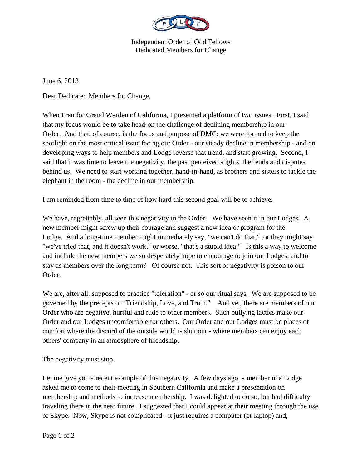

Independent Order of Odd Fellows Dedicated Members for Change

June 6, 2013

Dear Dedicated Members for Change,

When I ran for Grand Warden of California, I presented a platform of two issues. First, I said that my focus would be to take head-on the challenge of declining membership in our Order. And that, of course, is the focus and purpose of DMC: we were formed to keep the spotlight on the most critical issue facing our Order - our steady decline in membership - and on developing ways to help members and Lodge reverse that trend, and start growing. Second, I said that it was time to leave the negativity, the past perceived slights, the feuds and disputes behind us. We need to start working together, hand-in-hand, as brothers and sisters to tackle the elephant in the room - the decline in our membership.

I am reminded from time to time of how hard this second goal will be to achieve.

We have, regrettably, all seen this negativity in the Order. We have seen it in our Lodges. A new member might screw up their courage and suggest a new idea or program for the Lodge. And a long-time member might immediately say, "we can't do that," or they might say "we've tried that, and it doesn't work," or worse, "that's a stupid idea." Is this a way to welcome and include the new members we so desperately hope to encourage to join our Lodges, and to stay as members over the long term? Of course not. This sort of negativity is poison to our Order.

We are, after all, supposed to practice "toleration" - or so our ritual says. We are supposed to be governed by the precepts of "Friendship, Love, and Truth." And yet, there are members of our Order who are negative, hurtful and rude to other members. Such bullying tactics make our Order and our Lodges uncomfortable for others. Our Order and our Lodges must be places of comfort where the discord of the outside world is shut out - where members can enjoy each others' company in an atmosphere of friendship.

The negativity must stop.

Let me give you a recent example of this negativity. A few days ago, a member in a Lodge asked me to come to their meeting in Southern California and make a presentation on membership and methods to increase membership. I was delighted to do so, but had difficulty traveling there in the near future. I suggested that I could appear at their meeting through the use of Skype. Now, Skype is not complicated - it just requires a computer (or laptop) and,